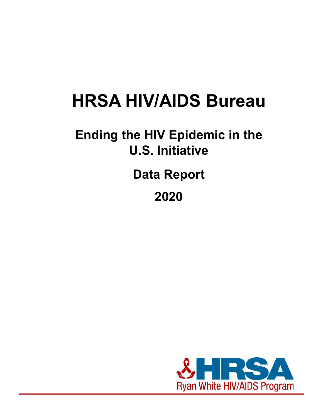# **HRSA HIV/AIDS Bureau**

## **Ending the HIV Epidemic in the U.S. Initiative**

**Data Report**

**2020**

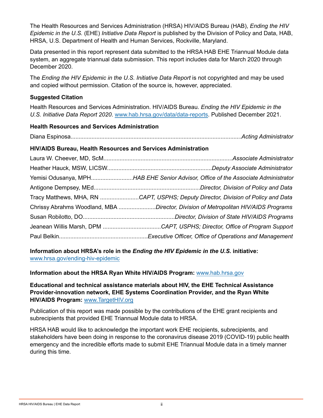The Health Resources and Services Administration (HRSA) HIV/AIDS Bureau (HAB), *Ending the HIV Epidemic in the U.S.* (EHE) *Initiative Data Report* is published by the Division of Policy and Data, HAB, HRSA, U.S. Department of Health and Human Services, Rockville, Maryland.

Data presented in this report represent data submitted to the HRSA HAB EHE Triannual Module data system, an aggregate triannual data submission. This report includes data for March 2020 through December 2020.

The *Ending the HIV Epidemic in the U.S. Initiative Data Report* is not copyrighted and may be used and copied without permission. Citation of the source is, however, appreciated.

#### **Suggested Citation**

Health Resources and Services Administration. HIV/AIDS Bureau. *Ending the HIV Epidemic in the U.S. Initiative Data Report 2020*. [www.hab.hrsa.gov/data/data-reports](http://www.hab.hrsa.gov/data/data-reports). Published December 2021.

#### **Health Resources and Services Administration**

Diana Espinosa..........................................................................................................*Acting Administrator*

#### **HIV/AIDS Bureau, Health Resources and Services Administration**

| Yemisi Odusanya, MPHHAB EHE Senior Advisor, Office of the Associate Administrator  |
|------------------------------------------------------------------------------------|
|                                                                                    |
| Tracy Matthews, MHA, RN CAPT, USPHS; Deputy Director, Division of Policy and Data  |
| Chrissy Abrahms Woodland, MBA Director, Division of Metropolitan HIV/AIDS Programs |
|                                                                                    |
| Jeanean Willis Marsh, DPM CAPT, USPHS; Director, Office of Program Support         |
|                                                                                    |

**Information about HRSA's role in the** *Ending the HIV Epidemic in the U.S.* **initiative:** [www.hrsa.gov/ending-hiv-epidemic](https://www.hrsa.gov/ending-hiv-epidemic)

**Information about the HRSA Ryan White HIV/AIDS Program:** [www.hab.hrsa.gov](http://www.hab.hrsa.gov/)

**Educational and technical assistance materials about HIV, the EHE Technical Assistance Provider-innovation network, EHE Systems Coordination Provider, and the Ryan White HIV/AIDS Program:** [www.TargetHIV.org](http://www.targethiv.org/)

Publication of this report was made possible by the contributions of the EHE grant recipients and subrecipients that provided EHE Triannual Module data to HRSA.

HRSA HAB would like to acknowledge the important work EHE recipients, subrecipients, and stakeholders have been doing in response to the coronavirus disease 2019 (COVID-19) public health emergency and the incredible efforts made to submit EHE Triannual Module data in a timely manner during this time.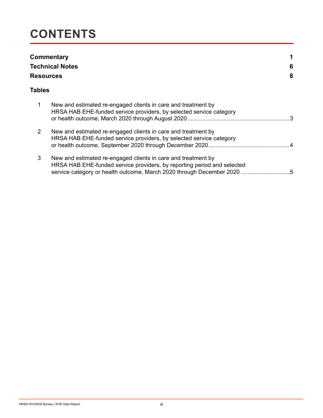### **CONTENTS**

| <b>Resources</b> | Commentary<br><b>Technical Notes</b>                                                                                                                                                                             | 6<br>8 |
|------------------|------------------------------------------------------------------------------------------------------------------------------------------------------------------------------------------------------------------|--------|
| Tables           |                                                                                                                                                                                                                  |        |
| 1                | New and estimated re-engaged clients in care and treatment by<br>HRSA HAB EHE-funded service providers, by selected service category                                                                             |        |
| $\overline{2}$   | New and estimated re-engaged clients in care and treatment by<br>HRSA HAB EHE-funded service providers, by selected service category                                                                             |        |
| 3                | New and estimated re-engaged clients in care and treatment by<br>HRSA HAB EHE-funded service providers, by reporting period and selected<br>service category or health outcome, March 2020 through December 2020 |        |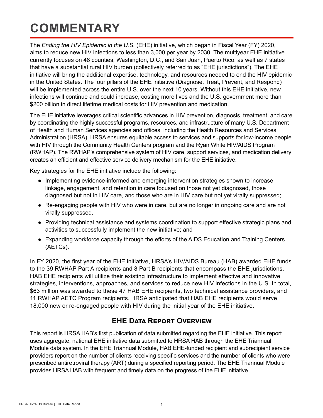## <span id="page-3-0"></span>**COMMENTARY**

The *Ending the HIV Epidemic in the U.S.* (EHE) initiative, which began in Fiscal Year (FY) 2020, aims to reduce new HIV infections to less than 3,000 per year by 2030. The multiyear EHE initiative currently focuses on 48 counties, Washington, D.C., and San Juan, Puerto Rico, as well as 7 states that have a substantial rural HIV burden (collectively referred to as "EHE jurisdictions"). The EHE initiative will bring the additional expertise, technology, and resources needed to end the HIV epidemic in the United States. The four pillars of the EHE initiative (Diagnose, Treat, Prevent, and Respond) will be implemented across the entire U.S. over the next 10 years. Without this EHE initiative, new infections will continue and could increase, costing more lives and the U.S. government more than \$200 billion in direct lifetime medical costs for HIV prevention and medication.

The EHE initiative leverages critical scientific advances in HIV prevention, diagnosis, treatment, and care by coordinating the highly successful programs, resources, and infrastructure of many U.S. Department of Health and Human Services agencies and offices, including the Health Resources and Services Administration (HRSA). HRSA ensures equitable access to services and supports for low-income people with HIV through the Community Health Centers program and the Ryan White HIV/AIDS Program (RWHAP). The RWHAP's comprehensive system of HIV care, support services, and medication delivery creates an efficient and effective service delivery mechanism for the EHE initiative.

Key strategies for the EHE initiative include the following:

- Implementing evidence-informed and emerging intervention strategies shown to increase linkage, engagement, and retention in care focused on those not yet diagnosed, those diagnosed but not in HIV care, and those who are in HIV care but not yet virally suppressed;
- Re-engaging people with HIV who were in care, but are no longer in ongoing care and are not virally suppressed.
- Providing technical assistance and systems coordination to support effective strategic plans and activities to successfully implement the new initiative; and
- Expanding workforce capacity through the efforts of the AIDS Education and Training Centers (AETCs).

In FY 2020, the first year of the EHE initiative, HRSA's HIV/AIDS Bureau (HAB) awarded EHE funds to the 39 RWHAP Part A recipients and 8 Part B recipients that encompass the EHE jurisdictions. HAB EHE recipients will utilize their existing infrastructure to implement effective and innovative strategies, interventions, approaches, and services to reduce new HIV infections in the U.S. In total, \$63 million was awarded to these 47 HAB EHE recipients, two technical assistance providers, and 11 RWHAP AETC Program recipients. HRSA anticipated that HAB EHE recipients would serve 18,000 new or re-engaged people with HIV during the initial year of the EHE initiative.

#### **EHE Data Report Overview**

This report is HRSA HAB's first publication of data submitted regarding the EHE initiative. This report uses aggregate, national EHE initiative data submitted to HRSA HAB through the EHE Triannual Module data system. In the EHE Triannual Module, HAB EHE-funded recipient and subrecipient service providers report on the number of clients receiving specific services and the number of clients who were prescribed antiretroviral therapy (ART) during a specified reporting period. The EHE Triannual Module provides HRSA HAB with frequent and timely data on the progress of the EHE initiative.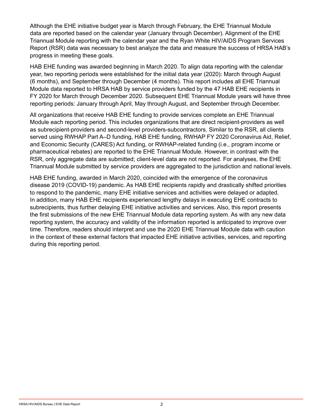Although the EHE initiative budget year is March through February, the EHE Triannual Module data are reported based on the calendar year (January through December). Alignment of the EHE Triannual Module reporting with the calendar year and the Ryan White HIV/AIDS Program Services Report (RSR) data was necessary to best analyze the data and measure the success of HRSA HAB's progress in meeting these goals.

HAB EHE funding was awarded beginning in March 2020. To align data reporting with the calendar year, two reporting periods were established for the initial data year (2020): March through August (6 months), and September through December (4 months). This report includes all EHE Triannual Module data reported to HRSA HAB by service providers funded by the 47 HAB EHE recipients in FY 2020 for March through December 2020. Subsequent EHE Triannual Module years will have three reporting periods: January through April, May through August, and September through December.

All organizations that receive HAB EHE funding to provide services complete an EHE Triannual Module each reporting period. This includes organizations that are direct recipient-providers as well as subrecipient-providers and second-level providers-subcontractors. Similar to the RSR, all clients served using RWHAP Part A–D funding, HAB EHE funding, RWHAP FY 2020 Coronavirus Aid, Relief, and Economic Security (CARES) Act funding, or RWHAP-related funding (i.e., program income or pharmaceutical rebates) are reported to the EHE Triannual Module. However, in contrast with the RSR, only aggregate data are submitted; client-level data are not reported. For analyses, the EHE Triannual Module submitted by service providers are aggregated to the jurisdiction and national levels.

HAB EHE funding, awarded in March 2020, coincided with the emergence of the coronavirus disease 2019 (COVID-19) pandemic. As HAB EHE recipients rapidly and drastically shifted priorities to respond to the pandemic, many EHE initiative services and activities were delayed or adapted. In addition, many HAB EHE recipients experienced lengthy delays in executing EHE contracts to subrecipients, thus further delaying EHE initiative activities and services. Also, this report presents the first submissions of the new EHE Triannual Module data reporting system. As with any new data reporting system, the accuracy and validity of the information reported is anticipated to improve over time. Therefore, readers should interpret and use the 2020 EHE Triannual Module data with caution in the context of these external factors that impacted EHE initiative activities, services, and reporting during this reporting period.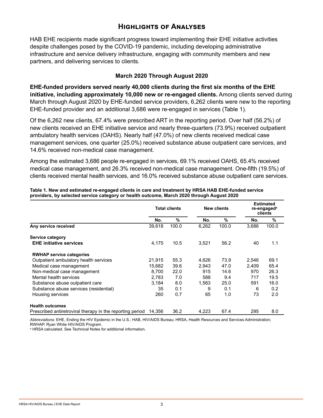#### **Highlights of Analyses**

HAB EHE recipients made significant progress toward implementing their EHE initiative activities despite challenges posed by the COVID-19 pandemic, including developing administrative infrastructure and service delivery infrastructure, engaging with community members and new partners, and delivering services to clients.

#### **March 2020 Through August 2020**

**EHE-funded providers served nearly 40,000 clients during the first six months of the EHE initiative, including approximately 10,000 new or re-engaged clients.** Among clients served during March through August 2020 by EHE-funded service providers, 6,262 clients were new to the reporting EHE-funded provider and an additional 3,686 were re-engaged in services (Table 1).

Of the 6,262 new clients, 67.4% were prescribed ART in the reporting period. Over half (56.2%) of new clients received an EHE initiative service and nearly three-quarters (73.9%) received outpatient ambulatory health services (OAHS). Nearly half (47.0%) of new clients received medical case management services, one quarter (25.0%) received substance abuse outpatient care services, and 14.6% received non-medical case management.

Among the estimated 3,686 people re-engaged in services, 69.1% received OAHS, 65.4% received medical case management, and 26.3% received non-medical case management. One-fifth (19.5%) of clients received mental health services, and 16.0% received substance abuse outpatient care services.

|                                                           |        | <b>Total clients</b> |       | <b>New clients</b> | <b>Estimated</b><br>re-engaged <sup>a</sup><br>clients |       |
|-----------------------------------------------------------|--------|----------------------|-------|--------------------|--------------------------------------------------------|-------|
|                                                           | No.    | $\%$                 | No.   | %                  | No.                                                    | %     |
| Any service received                                      | 39,618 | 100.0                | 6,262 | 100.0              | 3,686                                                  | 100.0 |
| Service category                                          |        |                      |       |                    |                                                        |       |
| <b>EHE initiative services</b>                            | 4,175  | 10.5                 | 3,521 | 56.2               | 40                                                     | 1.1   |
| <b>RWHAP service categories</b>                           |        |                      |       |                    |                                                        |       |
| Outpatient ambulatory health services                     | 21,915 | 55.3                 | 4,626 | 73.9               | 2,546                                                  | 69.1  |
| Medical case management                                   | 15,682 | 39.6                 | 2.943 | 47.0               | 2.409                                                  | 65.4  |
| Non-medical case management                               | 8.700  | 22.0                 | 915   | 14.6               | 970                                                    | 26.3  |
| Mental health services                                    | 2,783  | 7.0                  | 588   | 9.4                | 717                                                    | 19.5  |
| Substance abuse outpatient care                           | 3,184  | 8.0                  | 1,563 | 25.0               | 591                                                    | 16.0  |
| Substance abuse services (residential)                    | 35     | 0.1                  | 9     | 0.1                | 6                                                      | 0.2   |
| Housing services                                          | 260    | 0.7                  | 65    | 1.0                | 73                                                     | 2.0   |
| <b>Health outcomes</b>                                    |        |                      |       |                    |                                                        |       |
| Prescribed antiretroviral therapy in the reporting period | 14.356 | 36.2                 | 4,223 | 67.4               | 295                                                    | 8.0   |

<span id="page-5-0"></span>**Table 1. New and estimated re-engaged clients in care and treatment by HRSA HAB EHE-funded service providers, by selected service category or health outcome, March 2020 through August 2020** 

*Abbreviations:* EHE, Ending the HIV Epidemic in the U.S.; HAB, HIV/AIDS Bureau; HRSA, Health Resources and Services Administration; RWHAP, Ryan White HIV/AIDS Program.

a HRSA calculated. See Technical Notes for additional information.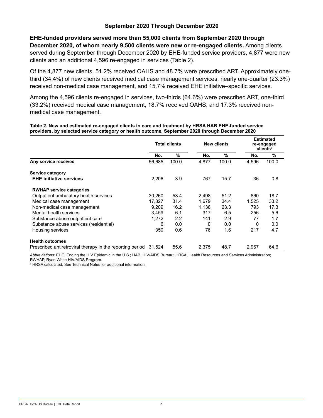#### **September 2020 Through December 2020**

**EHE-funded providers served more than 55,000 clients from September 2020 through December 2020, of whom nearly 9,500 clients were new or re-engaged clients.** Among clients served during September through December 2020 by EHE-funded service providers, 4,877 were new clients and an additional 4,596 re-engaged in services (Table 2).

Of the 4,877 new clients, 51.2% received OAHS and 48.7% were prescribed ART. Approximately onethird (34.4%) of new clients received medical case management services, nearly one-quarter (23.3%) received non-medical case management, and 15.7% received EHE initiative–specific services.

Among the 4,596 clients re-engaged in services, two-thirds (64.6%) were prescribed ART, one-third (33.2%) received medical case management, 18.7% received OAHS, and 17.3% received nonmedical case management.

#### <span id="page-6-0"></span>**Table 2. New and estimated re-engaged clients in care and treatment by HRSA HAB EHE-funded service providers, by selected service category or health outcome, September 2020 through December 2020**

|                                                           | <b>Total clients</b> |       |       | <b>New clients</b> |       | <b>Estimated</b><br>re-engaged<br>clients <sup>a</sup> |  |
|-----------------------------------------------------------|----------------------|-------|-------|--------------------|-------|--------------------------------------------------------|--|
|                                                           | No.                  | %     | No.   | %                  | No.   | %                                                      |  |
| Any service received                                      | 56,685               | 100.0 | 4,877 | 100.0              | 4,596 | 100.0                                                  |  |
| Service category                                          |                      |       |       |                    |       |                                                        |  |
| <b>EHE initiative services</b>                            | 2,206                | 3.9   | 767   | 15.7               | 36    | 0.8                                                    |  |
| <b>RWHAP service categories</b>                           |                      |       |       |                    |       |                                                        |  |
| Outpatient ambulatory health services                     | 30,260               | 53.4  | 2,498 | 51.2               | 860   | 18.7                                                   |  |
| Medical case management                                   | 17.827               | 31.4  | 1.679 | 34.4               | 1,525 | 33.2                                                   |  |
| Non-medical case management                               | 9,209                | 16.2  | 1,138 | 23.3               | 793   | 17.3                                                   |  |
| Mental health services                                    | 3,459                | 6.1   | 317   | 6.5                | 256   | 5.6                                                    |  |
| Substance abuse outpatient care                           | 1,272                | 2.2   | 141   | 2.9                | 77    | 1.7                                                    |  |
| Substance abuse services (residential)                    | 6                    | 0.0   | 0     | 0.0                | 0     | 0.0                                                    |  |
| Housing services                                          | 350                  | 0.6   | 76    | 1.6                | 217   | 4.7                                                    |  |
| <b>Health outcomes</b>                                    |                      |       |       |                    |       |                                                        |  |
| Prescribed antiretroviral therapy in the reporting period | 31.524               | 55.6  | 2,375 | 48.7               | 2,967 | 64.6                                                   |  |

*Abbreviations:* EHE, Ending the HIV Epidemic in the U.S.; HAB, HIV/AIDS Bureau; HRSA, Health Resources and Services Administration; RWHAP, Ryan White HIV/AIDS Program.

a HRSA calculated. See Technical Notes for additional information.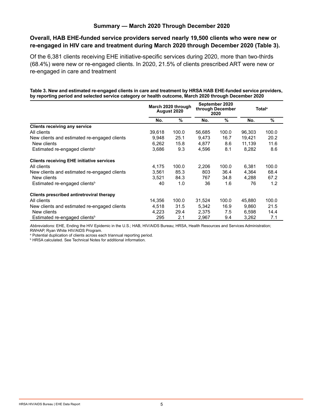#### **Summary — March 2020 Through December 2020**

#### **Overall, HAB EHE-funded service providers served nearly 19,500 clients who were new or re-engaged in HIV care and treatment during March 2020 through December 2020 (Table 3).**

Of the 6,381 clients receiving EHE initiative-specific services during 2020, more than two-thirds (68.4%) were new or re-engaged clients. In 2020, 21.5% of clients prescribed ART were new or re-engaged in care and treatment

#### <span id="page-7-0"></span>**Table 3. New and estimated re-engaged clients in care and treatment by HRSA HAB EHE-funded service providers, by reporting period and selected service category or health outcome, March 2020 through December 2020**

|                                                  | March 2020 through<br>August 2020 |       | September 2020<br>through December<br>2020 |               | <b>Total</b> <sup>a</sup> |       |
|--------------------------------------------------|-----------------------------------|-------|--------------------------------------------|---------------|---------------------------|-------|
|                                                  | No.                               | %     | No.                                        | $\frac{0}{0}$ | No.                       | %     |
| <b>Clients receiving any service</b>             |                                   |       |                                            |               |                           |       |
| All clients                                      | 39,618                            | 100.0 | 56,685                                     | 100.0         | 96,303                    | 100.0 |
| New clients and estimated re-engaged clients     | 9,948                             | 25.1  | 9,473                                      | 16.7          | 19,421                    | 20.2  |
| New clients                                      | 6,262                             | 15.8  | 4,877                                      | 8.6           | 11,139                    | 11.6  |
| Estimated re-engaged clients <sup>b</sup>        | 3,686                             | 9.3   | 4,596                                      | 8.1           | 8,282                     | 8.6   |
| <b>Clients receiving EHE initiative services</b> |                                   |       |                                            |               |                           |       |
| All clients                                      | 4,175                             | 100.0 | 2,206                                      | 100.0         | 6,381                     | 100.0 |
| New clients and estimated re-engaged clients     | 3,561                             | 85.3  | 803                                        | 36.4          | 4,364                     | 68.4  |
| New clients                                      | 3,521                             | 84.3  | 767                                        | 34.8          | 4,288                     | 67.2  |
| Estimated re-engaged clients <sup>b</sup>        | 40                                | 1.0   | 36                                         | 1.6           | 76                        | 1.2   |
| Clients prescribed antiretroviral therapy        |                                   |       |                                            |               |                           |       |
| All clients                                      | 14,356                            | 100.0 | 31,524                                     | 100.0         | 45,880                    | 100.0 |
| New clients and estimated re-engaged clients     | 4.518                             | 31.5  | 5,342                                      | 16.9          | 9.860                     | 21.5  |
| New clients                                      | 4,223                             | 29.4  | 2,375                                      | 7.5           | 6,598                     | 14.4  |
| Estimated re-engaged clients <sup>b</sup>        | 295                               | 2.1   | 2,967                                      | 9.4           | 3,262                     | 7.1   |

*Abbreviations:* EHE, Ending the HIV Epidemic in the U.S.; HAB, HIV/AIDS Bureau; HRSA, Health Resources and Services Administration; RWHAP, Ryan White HIV/AIDS Program.

<sup>a</sup> Potential duplication of clients across each triannual reporting period.

b HRSA calculated. See Technical Notes for additional information.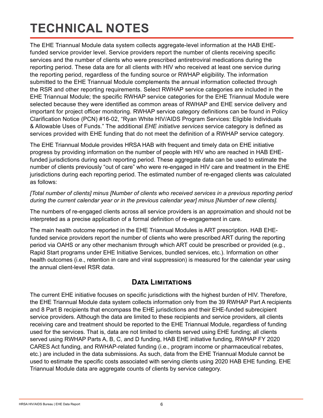## <span id="page-8-0"></span>**TECHNICAL NOTES**

The EHE Triannual Module data system collects aggregate-level information at the HAB EHEfunded service provider level. Service providers report the number of clients receiving specific services and the number of clients who were prescribed antiretroviral medications during the reporting period. These data are for all clients with HIV who received at least one service during the reporting period, regardless of the funding source or RWHAP eligibility. The information submitted to the EHE Triannual Module complements the annual information collected through the RSR and other reporting requirements. Select RWHAP service categories are included in the EHE Triannual Module; the specific RWHAP service categories for the EHE Triannual Module were selected because they were identified as common areas of RWHAP and EHE service delivery and important for project officer monitoring. RWHAP service category definitions can be found in Policy Clarification Notice (PCN) #16-02, "Ryan White HIV/AIDS Program Services: Eligible Individuals & Allowable Uses of Funds." The additional *EHE initiative services* service category is defined as services provided with EHE funding that do not meet the definition of a RWHAP service category.

The EHE Triannual Module provides HRSA HAB with frequent and timely data on EHE initiative progress by providing information on the number of people with HIV who are reached in HAB EHEfunded jurisdictions during each reporting period. These aggregate data can be used to estimate the number of clients previously "out of care" who were re-engaged in HIV care and treatment in the EHE jurisdictions during each reporting period. The estimated number of re-engaged clients was calculated as follows:

*[Total number of clients] minus [Number of clients who received services in a previous reporting period during the current calendar year or in the previous calendar year] minus [Number of new clients].*

The numbers of re-engaged clients across all service providers is an approximation and should not be interpreted as a precise application of a formal definition of re-engagement in care.

The main health outcome reported in the EHE Triannual Modules is ART prescription. HAB EHEfunded service providers report the number of clients who were prescribed ART during the reporting period via OAHS or any other mechanism through which ART could be prescribed or provided (e.g., Rapid Start programs under EHE Initiative Services, bundled services, etc.). Information on other health outcomes (i.e., retention in care and viral suppression) is measured for the calendar year using the annual client-level RSR data.

#### **Data Limitations**

The current EHE initiative focuses on specific jurisdictions with the highest burden of HIV. Therefore, the EHE Triannual Module data system collects information only from the 39 RWHAP Part A recipients and 8 Part B recipients that encompass the EHE jurisdictions and their EHE-funded subrecipient service providers. Although the data are limited to these recipients and service providers, all clients receiving care and treatment should be reported to the EHE Triannual Module, regardless of funding used for the services. That is, data are not limited to clients served using EHE funding; all clients served using RWHAP Parts A, B, C, and D funding, HAB EHE initiative funding, RWHAP FY 2020 CARES Act funding, and RWHAP-related funding (i.e., program income or pharmaceutical rebates, etc.) are included in the data submissions. As such, data from the EHE Triannual Module cannot be used to estimate the specific costs associated with serving clients using 2020 HAB EHE funding. EHE Triannual Module data are aggregate counts of clients by service category.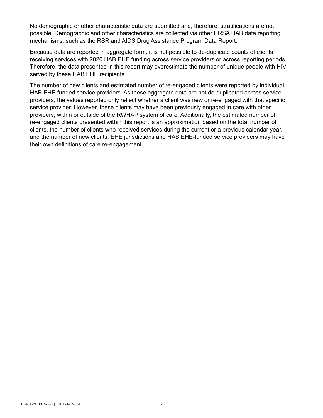No demographic or other characteristic data are submitted and, therefore, stratifications are not possible. Demographic and other characteristics are collected via other HRSA HAB data reporting mechanisms, such as the RSR and AIDS Drug Assistance Program Data Report.

Because data are reported in aggregate form, it is not possible to de-duplicate counts of clients receiving services with 2020 HAB EHE funding across service providers or across reporting periods. Therefore, the data presented in this report may overestimate the number of unique people with HIV served by these HAB EHE recipients.

The number of new clients and estimated number of re-engaged clients were reported by individual HAB EHE-funded service providers. As these aggregate data are not de-duplicated across service providers, the values reported only reflect whether a client was new or re-engaged with that specific service provider. However, these clients may have been previously engaged in care with other providers, within or outside of the RWHAP system of care. Additionally, the estimated number of re-engaged clients presented within this report is an approximation based on the total number of clients, the number of clients who received services during the current or a previous calendar year, and the number of new clients. EHE jurisdictions and HAB EHE-funded service providers may have their own definitions of care re-engagement.